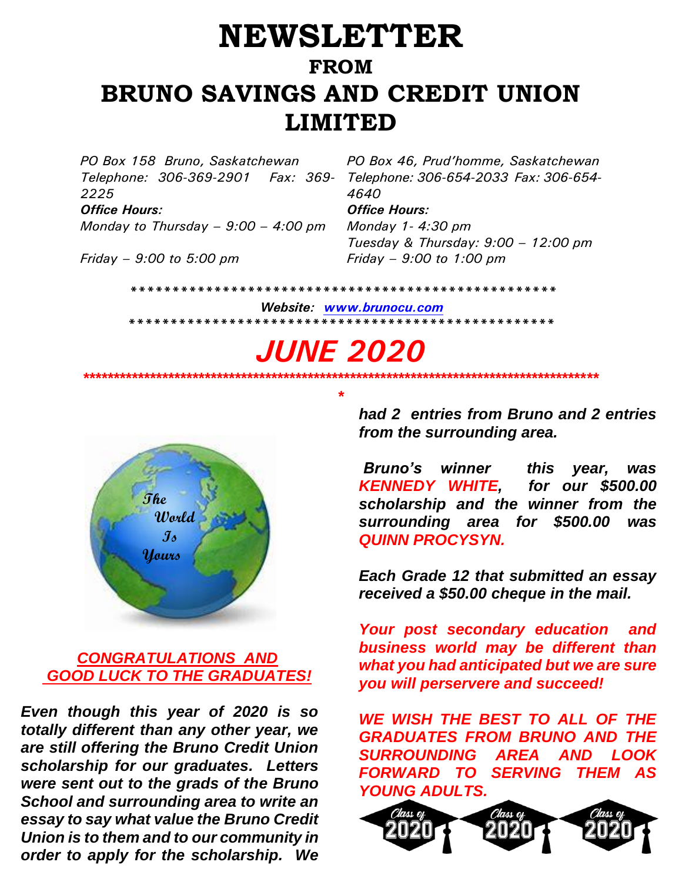## **NEWSLETTER FROM BRUNO SAVINGS AND CREDIT UNION LIMITED**

*PO Box 158 Bruno, Saskatchewan PO Box 46, Prud'homme, Saskatchewan Telephone: 306-369-2901 Fax: 369- 2225 Office Hours: Office Hours:*

*Monday to Thursday – 9:00 – 4:00 pm Monday 1- 4:30 pm*

*Telephone: 306-654-2033 Fax: 306-654- 4640 Tuesday & Thursday: 9:00 – 12:00 pm*

*Friday – 9:00 to 5:00 pm Friday – 9:00 to 1:00 pm*

 *\*\*\*\*\*\*\*\*\*\*\*\*\*\*\*\*\*\*\*\*\*\*\*\*\*\*\*\*\*\*\*\*\*\*\*\*\*\*\*\*\*\*\*\*\*\*\*\*\*\*\**

 *Website: [www.brunocu.com](http://www.brunocu.com/) \*\*\*\*\*\*\*\*\*\*\*\*\*\*\*\*\*\*\*\*\*\*\*\*\*\*\*\*\*\*\*\*\*\*\*\*\*\*\*\*\*\*\*\*\*\*\*\*\*\*\** 

# *JUNE 2020*

*\*\*\*\*\*\*\*\*\*\*\*\*\*\*\*\*\*\*\*\*\*\*\*\*\*\*\*\*\*\*\*\*\*\*\*\*\*\*\*\*\*\*\*\*\*\*\*\*\*\*\*\*\*\*\*\*\*\*\*\*\*\*\*\*\*\*\*\*\*\*\*\*\*\*\*\*\*\*\*\*\*\*\*\*\* \**



#### *CONGRATULATIONS AND GOOD LUCK TO THE GRADUATES!*

*Even though this year of 2020 is so totally different than any other year, we are still offering the Bruno Credit Union scholarship for our graduates. Letters were sent out to the grads of the Bruno School and surrounding area to write an essay to say what value the Bruno Credit Union is to them and to our community in order to apply for the scholarship. We* 

*had 2 entries from Bruno and 2 entries from the surrounding area.*

*Bruno's winner this year, was KENNEDY WHITE, for our \$500.00 scholarship and the winner from the surrounding area for \$500.00 was QUINN PROCYSYN.*

*Each Grade 12 that submitted an essay received a \$50.00 cheque in the mail.* 

*Your post secondary education and business world may be different than what you had anticipated but we are sure you will perservere and succeed!*

*WE WISH THE BEST TO ALL OF THE GRADUATES FROM BRUNO AND THE SURROUNDING AREA AND LOOK FORWARD TO SERVING THEM AS YOUNG ADULTS.*